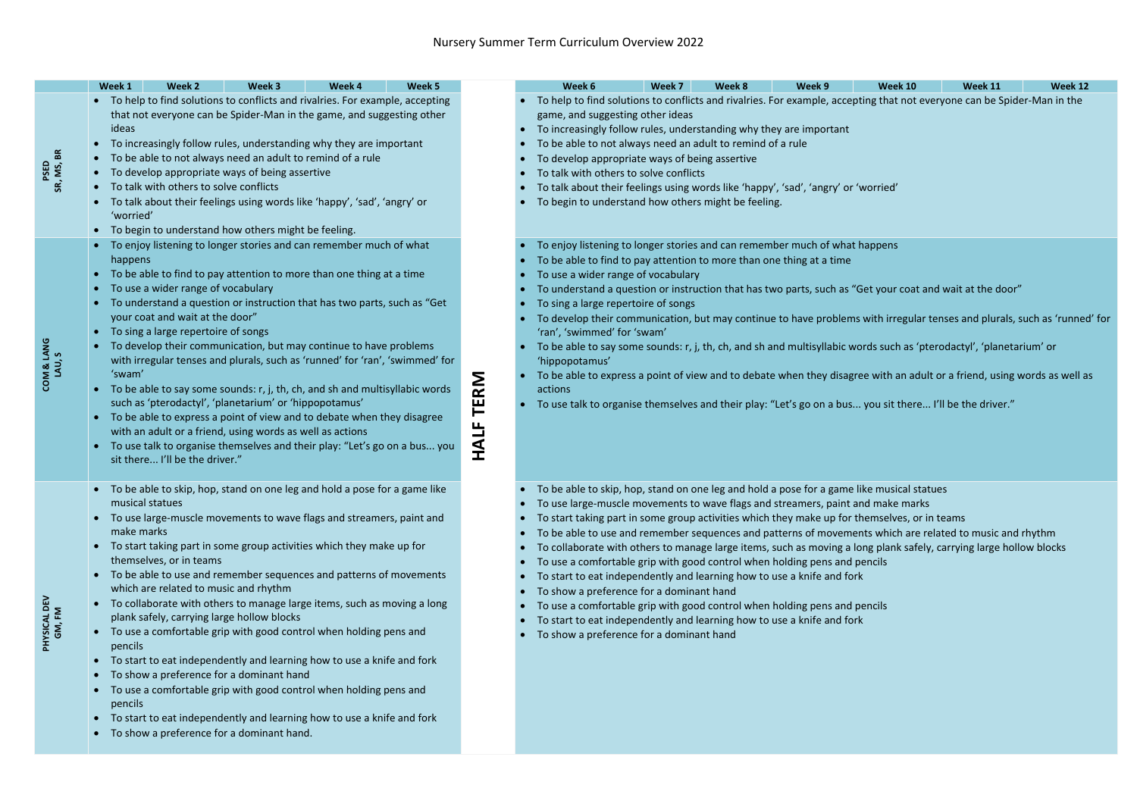|                                 | Week 1                                                                                                                                                                                                                                                                                                                                                                                                                                                                                                                                             |                                                                                                                                                                                                                                                                                                                                                                                                                                                                                                                                                                                                                                                                                                                                                                                                                                                                                                                   | Week 2                                                                              | Week 3                                                                                                                                                                                                                                                                                                                                                                                                                                                                                                                                                                                                                                                                                                                                                                                                              | Week 4 | Week 5                        |                                                                                                                                                                                                                                                                                                                                                                                                                                                                                                                                                                                                                                                                                                                                                                                                                                                                                               |                                     | Week 6                                                                                                                                                                                                                                                                                                                                                                                                                                                                                                                                                                                                                                                                                                                                                                                                                                                                                                                 | Week 7 | Week 8 | Week 9 | <b>Week 10</b> | Week 11 | Week 12 |
|---------------------------------|----------------------------------------------------------------------------------------------------------------------------------------------------------------------------------------------------------------------------------------------------------------------------------------------------------------------------------------------------------------------------------------------------------------------------------------------------------------------------------------------------------------------------------------------------|-------------------------------------------------------------------------------------------------------------------------------------------------------------------------------------------------------------------------------------------------------------------------------------------------------------------------------------------------------------------------------------------------------------------------------------------------------------------------------------------------------------------------------------------------------------------------------------------------------------------------------------------------------------------------------------------------------------------------------------------------------------------------------------------------------------------------------------------------------------------------------------------------------------------|-------------------------------------------------------------------------------------|---------------------------------------------------------------------------------------------------------------------------------------------------------------------------------------------------------------------------------------------------------------------------------------------------------------------------------------------------------------------------------------------------------------------------------------------------------------------------------------------------------------------------------------------------------------------------------------------------------------------------------------------------------------------------------------------------------------------------------------------------------------------------------------------------------------------|--------|-------------------------------|-----------------------------------------------------------------------------------------------------------------------------------------------------------------------------------------------------------------------------------------------------------------------------------------------------------------------------------------------------------------------------------------------------------------------------------------------------------------------------------------------------------------------------------------------------------------------------------------------------------------------------------------------------------------------------------------------------------------------------------------------------------------------------------------------------------------------------------------------------------------------------------------------|-------------------------------------|------------------------------------------------------------------------------------------------------------------------------------------------------------------------------------------------------------------------------------------------------------------------------------------------------------------------------------------------------------------------------------------------------------------------------------------------------------------------------------------------------------------------------------------------------------------------------------------------------------------------------------------------------------------------------------------------------------------------------------------------------------------------------------------------------------------------------------------------------------------------------------------------------------------------|--------|--------|--------|----------------|---------|---------|
| SR, MS, BR                      | • To help to find solutions to conflicts and rivalries. For example, accepting<br>that not everyone can be Spider-Man in the game, and suggesting other<br>ideas<br>To increasingly follow rules, understanding why they are important<br>To be able to not always need an adult to remind of a rule<br>To develop appropriate ways of being assertive<br>To talk with others to solve conflicts<br>To talk about their feelings using words like 'happy', 'sad', 'angry' or<br>'worried'<br>• To begin to understand how others might be feeling. |                                                                                                                                                                                                                                                                                                                                                                                                                                                                                                                                                                                                                                                                                                                                                                                                                                                                                                                   |                                                                                     |                                                                                                                                                                                                                                                                                                                                                                                                                                                                                                                                                                                                                                                                                                                                                                                                                     |        |                               | To help to find solutions to conflicts and rivalries. For example, accepting that not everyone can be Spider-Man in the<br>game, and suggesting other ideas<br>To increasingly follow rules, understanding why they are important<br>To be able to not always need an adult to remind of a rule<br>To develop appropriate ways of being assertive<br>To talk with others to solve conflicts<br>To talk about their feelings using words like 'happy', 'sad', 'angry' or 'worried'<br>To begin to understand how others might be feeling.                                                                                                                                                                                                                                                                                                                                                      |                                     |                                                                                                                                                                                                                                                                                                                                                                                                                                                                                                                                                                                                                                                                                                                                                                                                                                                                                                                        |        |        |        |                |         |         |
| <b>LANG</b><br>V & LA<br>LAU, S |                                                                                                                                                                                                                                                                                                                                                                                                                                                                                                                                                    | • To enjoy listening to longer stories and can remember much of what<br>happens<br>To be able to find to pay attention to more than one thing at a time<br>To use a wider range of vocabulary<br>To understand a question or instruction that has two parts, such as "Get<br>your coat and wait at the door"<br>To sing a large repertoire of songs<br>To develop their communication, but may continue to have problems<br>with irregular tenses and plurals, such as 'runned' for 'ran', 'swimmed' for<br>'swam'<br>To be able to say some sounds: r, j, th, ch, and sh and multisyllabic words<br>such as 'pterodactyl', 'planetarium' or 'hippopotamus'<br>To be able to express a point of view and to debate when they disagree<br>with an adult or a friend, using words as well as actions<br>To use talk to organise themselves and their play: "Let's go on a bus you<br>sit there I'll be the driver." |                                                                                     |                                                                                                                                                                                                                                                                                                                                                                                                                                                                                                                                                                                                                                                                                                                                                                                                                     |        | <b>INS</b><br>ΙĒ<br>ட<br>HALI | To enjoy listening to longer stories and can remember much of what happens<br>To be able to find to pay attention to more than one thing at a time<br>To use a wider range of vocabulary<br>To understand a question or instruction that has two parts, such as "Get your coat and wait at the door"<br>To sing a large repertoire of songs<br>To develop their communication, but may continue to have problems with irregular tenses and plurals, such as 'runned<br>'ran', 'swimmed' for 'swam'<br>To be able to say some sounds: r, j, th, ch, and sh and multisyllabic words such as 'pterodactyl', 'planetarium' or<br>'hippopotamus'<br>To be able to express a point of view and to debate when they disagree with an adult or a friend, using words as well a<br>actions<br>To use talk to organise themselves and their play: "Let's go on a bus you sit there I'll be the driver." |                                     |                                                                                                                                                                                                                                                                                                                                                                                                                                                                                                                                                                                                                                                                                                                                                                                                                                                                                                                        |        |        |        |                |         |         |
| TSICAL DEV<br>GM, FM            |                                                                                                                                                                                                                                                                                                                                                                                                                                                                                                                                                    | make marks<br>pencils<br>pencils                                                                                                                                                                                                                                                                                                                                                                                                                                                                                                                                                                                                                                                                                                                                                                                                                                                                                  | musical statues<br>themselves, or in teams<br>which are related to music and rhythm | • To be able to skip, hop, stand on one leg and hold a pose for a game like<br>• To use large-muscle movements to wave flags and streamers, paint and<br>To start taking part in some group activities which they make up for<br>To be able to use and remember sequences and patterns of movements<br>To collaborate with others to manage large items, such as moving a long<br>plank safely, carrying large hollow blocks<br>To use a comfortable grip with good control when holding pens and<br>To start to eat independently and learning how to use a knife and fork<br>To show a preference for a dominant hand<br>To use a comfortable grip with good control when holding pens and<br>To start to eat independently and learning how to use a knife and fork<br>To show a preference for a dominant hand. |        |                               |                                                                                                                                                                                                                                                                                                                                                                                                                                                                                                                                                                                                                                                                                                                                                                                                                                                                                               | $\bullet$<br>$\bullet$<br>$\bullet$ | To be able to skip, hop, stand on one leg and hold a pose for a game like musical statues<br>• To use large-muscle movements to wave flags and streamers, paint and make marks<br>To start taking part in some group activities which they make up for themselves, or in teams<br>To be able to use and remember sequences and patterns of movements which are related to music and rhythm<br>To collaborate with others to manage large items, such as moving a long plank safely, carrying large hollow blocks<br>To use a comfortable grip with good control when holding pens and pencils<br>To start to eat independently and learning how to use a knife and fork<br>To show a preference for a dominant hand<br>To use a comfortable grip with good control when holding pens and pencils<br>To start to eat independently and learning how to use a knife and fork<br>To show a preference for a dominant hand |        |        |        |                |         |         |

with irregular tenses and plurals, such as 'runned' for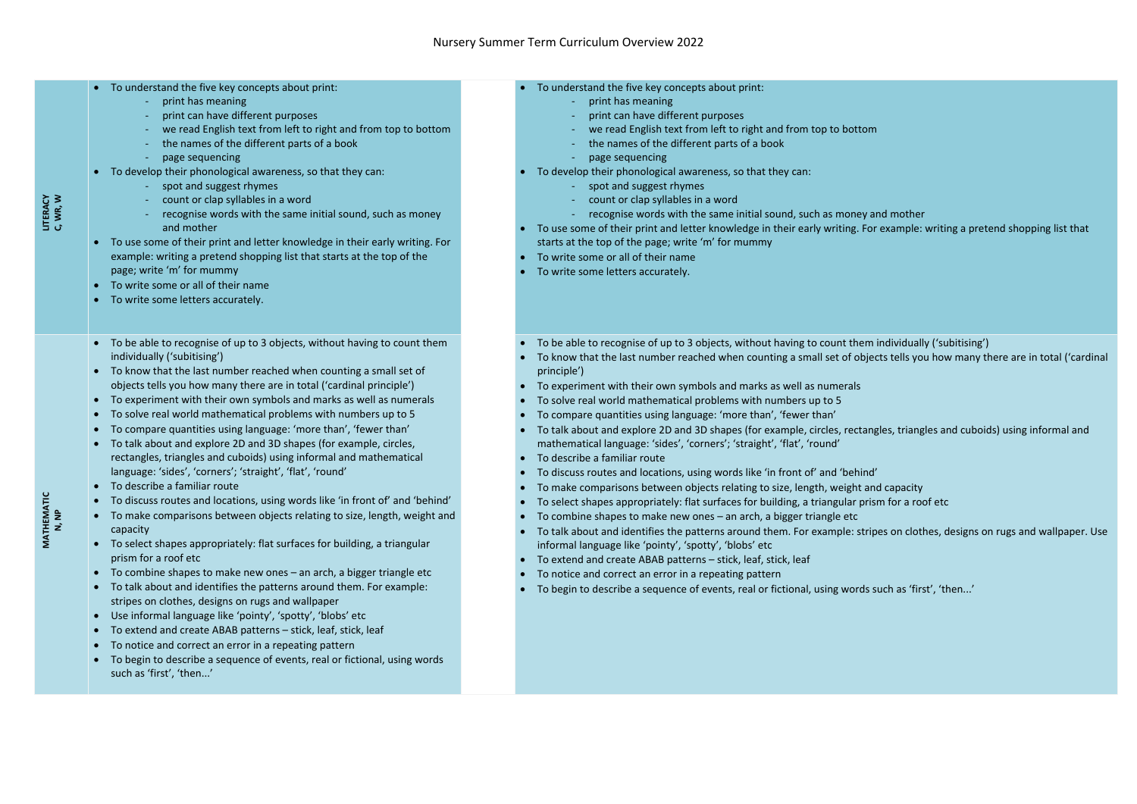|                          | LITERACY<br>C, WR, W | • To understand the five key concepts about print:<br>print has meaning<br>print can have different purposes<br>we read English text from left to right and from top to bottom<br>the names of the different parts of a book<br>page sequencing<br>To develop their phonological awareness, so that they can:<br>spot and suggest rhymes<br>count or clap syllables in a word<br>recognise words with the same initial sound, such as money<br>and mother<br>To use some of their print and letter knowledge in their early writing. For<br>example: writing a pretend shopping list that starts at the top of the<br>page; write 'm' for mummy<br>To write some or all of their name<br>• To write some letters accurately.                                                                                                                                                                                                                                                                                                                                                                                                                                                                                                                                                                                                                                                                                                                                                                                                                                                      | To understand the five key concepts about print:<br>print has meaning<br>print can have different purposes<br>we read English text from left to right<br>the names of the different parts of a b<br>page sequencing<br>To develop their phonological awareness, so that<br>spot and suggest rhymes<br>count or clap syllables in a word<br>recognise words with the same initial<br>To use some of their print and letter knowledge in<br>starts at the top of the page; write 'm' for mumm<br>To write some or all of their name<br>To write some letters accurately.                                                                                                                                                                                                                                                                                                                                                  |
|--------------------------|----------------------|-----------------------------------------------------------------------------------------------------------------------------------------------------------------------------------------------------------------------------------------------------------------------------------------------------------------------------------------------------------------------------------------------------------------------------------------------------------------------------------------------------------------------------------------------------------------------------------------------------------------------------------------------------------------------------------------------------------------------------------------------------------------------------------------------------------------------------------------------------------------------------------------------------------------------------------------------------------------------------------------------------------------------------------------------------------------------------------------------------------------------------------------------------------------------------------------------------------------------------------------------------------------------------------------------------------------------------------------------------------------------------------------------------------------------------------------------------------------------------------------------------------------------------------------------------------------------------------|-------------------------------------------------------------------------------------------------------------------------------------------------------------------------------------------------------------------------------------------------------------------------------------------------------------------------------------------------------------------------------------------------------------------------------------------------------------------------------------------------------------------------------------------------------------------------------------------------------------------------------------------------------------------------------------------------------------------------------------------------------------------------------------------------------------------------------------------------------------------------------------------------------------------------|
| $\frac{C}{1}$<br>MATHEMA | N, NP                | To be able to recognise of up to 3 objects, without having to count them<br>individually ('subitising')<br>To know that the last number reached when counting a small set of<br>$\bullet$<br>objects tells you how many there are in total ('cardinal principle')<br>To experiment with their own symbols and marks as well as numerals<br>To solve real world mathematical problems with numbers up to 5<br>To compare quantities using language: 'more than', 'fewer than'<br>To talk about and explore 2D and 3D shapes (for example, circles,<br>rectangles, triangles and cuboids) using informal and mathematical<br>language: 'sides', 'corners'; 'straight', 'flat', 'round'<br>To describe a familiar route<br>To discuss routes and locations, using words like 'in front of' and 'behind'<br>To make comparisons between objects relating to size, length, weight and<br>$\bullet$<br>capacity<br>To select shapes appropriately: flat surfaces for building, a triangular<br>$\bullet$<br>prism for a roof etc<br>To combine shapes to make new ones - an arch, a bigger triangle etc<br>$\bullet$<br>To talk about and identifies the patterns around them. For example:<br>$\bullet$<br>stripes on clothes, designs on rugs and wallpaper<br>Use informal language like 'pointy', 'spotty', 'blobs' etc<br>$\bullet$<br>To extend and create ABAB patterns - stick, leaf, stick, leaf<br>$\bullet$<br>To notice and correct an error in a repeating pattern<br>To begin to describe a sequence of events, real or fictional, using words<br>such as 'first', 'then' | To be able to recognise of up to 3 objects, withou<br>To know that the last number reached when cour<br>principle')<br>To experiment with their own symbols and marks<br>To solve real world mathematical problems with<br>To compare quantities using language: 'more that<br>To talk about and explore 2D and 3D shapes (for<br>mathematical language: 'sides', 'corners'; 'straigh<br>To describe a familiar route<br>To discuss routes and locations, using words like '<br>To make comparisons between objects relating to<br>To select shapes appropriately: flat surfaces for b<br>To combine shapes to make new ones - an arch,<br>To talk about and identifies the patterns around t<br>informal language like 'pointy', 'spotty', 'blobs' et<br>To extend and create ABAB patterns - stick, leaf,<br>To notice and correct an error in a repeating patt<br>To begin to describe a sequence of events, real or |

- ing different purposes
	- h text from left to right and from top to bottom
	- he different parts of a book
	-
- gical awareness, so that they can:
	- st rhymes
	- yllables in a word
	- ds with the same initial sound, such as money and mother
- ge; write 'm' for mummy
- eir name
- arately.
- up to 3 objects, without having to count them individually ('subitising')
- 
- own symbols and marks as well as numerals
- matical problems with numbers up to 5
- ing language: 'more than', 'fewer than'
- sides', 'corners'; 'straight', 'flat', 'round'
- To describe a familiar route
- Itions, using words like 'in front of' and 'behind'
- ween objects relating to size, length, weight and capacity
- iately: flat surfaces for building, a triangular prism for a roof etc
- ke new ones an arch, a bigger triangle etc
- inty', 'spotty', 'blobs' etc
- RB patterns stick, leaf, stick, leaf
- rror in a repeating pattern
- uence of events, real or fictional, using words such as 'first', 'then...'

and letter knowledge in their early writing. For example: writing a pretend shopping list that

The reached when counting a small set of objects tells you how many there are in total ('cardinal

2D and 3D shapes (for example, circles, rectangles, triangles and cuboids) using informal and

es the patterns around them. For example: stripes on clothes, designs on rugs and wallpaper. Use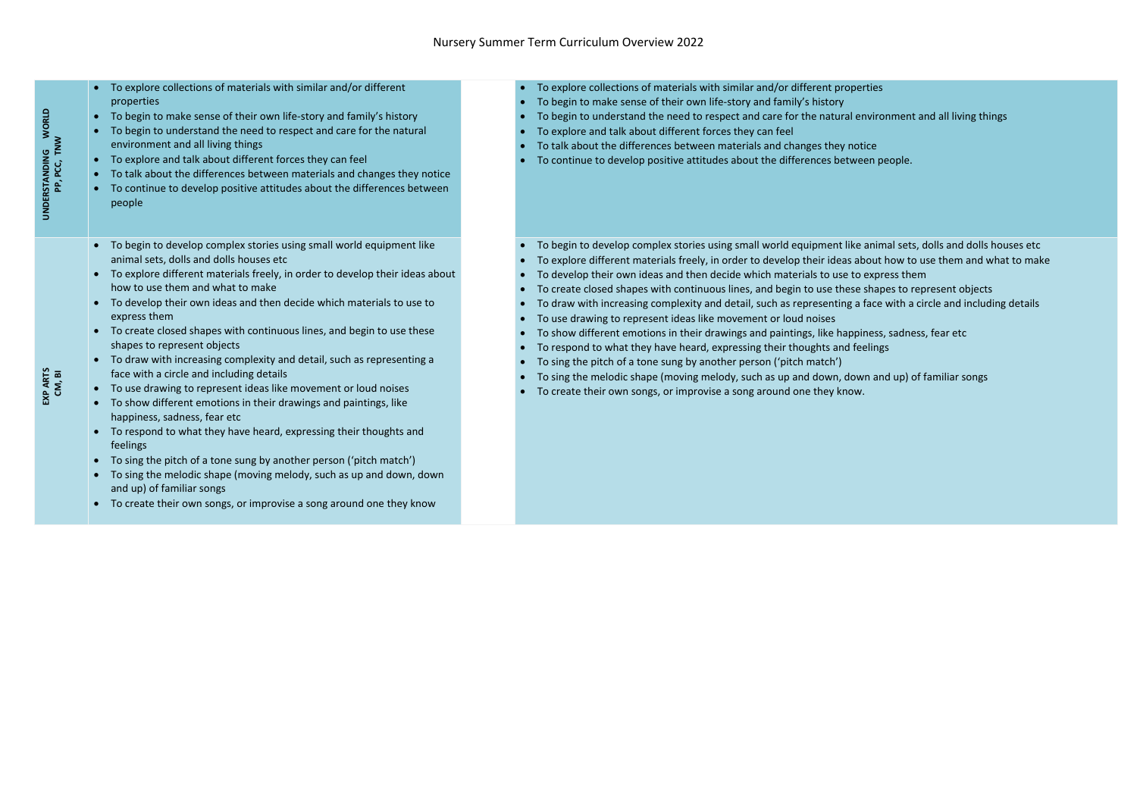| <b>WORLD</b><br>PP, PCC, TNW<br><b>UNDERSTANDING</b> | To explore collections of materials with similar and/or different<br>$\bullet$<br>properties<br>To begin to make sense of their own life-story and family's history<br>$\bullet$<br>To begin to understand the need to respect and care for the natural<br>$\bullet$<br>environment and all living things<br>To explore and talk about different forces they can feel<br>$\bullet$<br>To talk about the differences between materials and changes they notice<br>$\bullet$<br>To continue to develop positive attitudes about the differences between<br>$\bullet$<br>people                                                                                                                                                                                                                                                                                                                                                                                                                                                                                                                                                                                                          | To<br>$\bullet$<br>To<br>$\bullet$<br>To<br>$\bullet$<br>To<br>$\bullet$<br>To<br>To                                            |
|------------------------------------------------------|---------------------------------------------------------------------------------------------------------------------------------------------------------------------------------------------------------------------------------------------------------------------------------------------------------------------------------------------------------------------------------------------------------------------------------------------------------------------------------------------------------------------------------------------------------------------------------------------------------------------------------------------------------------------------------------------------------------------------------------------------------------------------------------------------------------------------------------------------------------------------------------------------------------------------------------------------------------------------------------------------------------------------------------------------------------------------------------------------------------------------------------------------------------------------------------|---------------------------------------------------------------------------------------------------------------------------------|
| EXP ARTS<br>CM, BI                                   | To begin to develop complex stories using small world equipment like<br>$\bullet$<br>animal sets, dolls and dolls houses etc<br>To explore different materials freely, in order to develop their ideas about<br>$\bullet$<br>how to use them and what to make<br>To develop their own ideas and then decide which materials to use to<br>$\bullet$<br>express them<br>To create closed shapes with continuous lines, and begin to use these<br>shapes to represent objects<br>To draw with increasing complexity and detail, such as representing a<br>face with a circle and including details<br>To use drawing to represent ideas like movement or loud noises<br>$\bullet$<br>To show different emotions in their drawings and paintings, like<br>$\bullet$<br>happiness, sadness, fear etc<br>To respond to what they have heard, expressing their thoughts and<br>$\bullet$<br>feelings<br>To sing the pitch of a tone sung by another person ('pitch match')<br>$\bullet$<br>To sing the melodic shape (moving melody, such as up and down, down<br>$\bullet$<br>and up) of familiar songs<br>To create their own songs, or improvise a song around one they know<br>$\bullet$ | To<br>$\bullet$<br>To<br>To<br>To<br>To<br>To<br>To<br>To<br>$\bullet$<br>To<br>$\bullet$<br>To<br>$\bullet$<br>To<br>$\bullet$ |

- explore collections of materials with similar and/or different properties
- begin to make sense of their own life-story and family's history
- begin to understand the need to respect and care for the natural environment and all living things
- explore and talk about different forces they can feel
- talk about the differences between materials and changes they notice
- continue to develop positive attitudes about the differences between people.
- begin to develop complex stories using small world equipment like animal sets, dolls and dolls houses etc
- explore different materials freely, in order to develop their ideas about how to use them and what to make
- develop their own ideas and then decide which materials to use to express them
- create closed shapes with continuous lines, and begin to use these shapes to represent objects
- draw with increasing complexity and detail, such as representing a face with a circle and including details
- use drawing to represent ideas like movement or loud noises
- show different emotions in their drawings and paintings, like happiness, sadness, fear etc
- respond to what they have heard, expressing their thoughts and feelings
- sing the pitch of a tone sung by another person ('pitch match')
- sing the melodic shape (moving melody, such as up and down, down and up) of familiar songs
- create their own songs, or improvise a song around one they know.